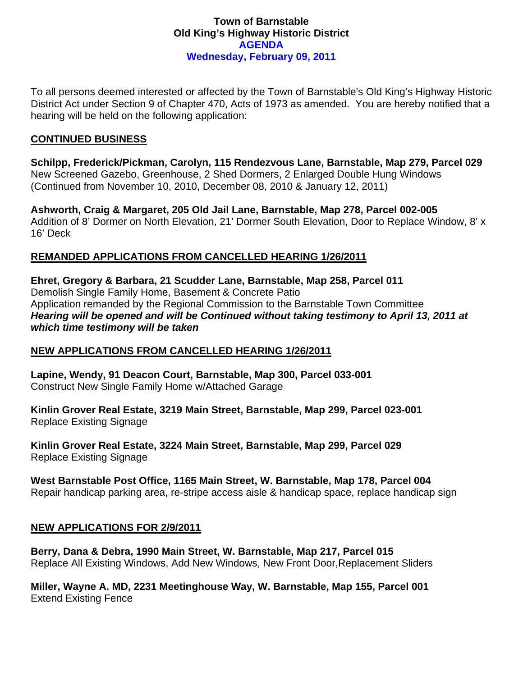### **Town of Barnstable Old King's Highway Historic District AGENDA Wednesday, February 09, 2011**

To all persons deemed interested or affected by the Town of Barnstable's Old King's Highway Historic District Act under Section 9 of Chapter 470, Acts of 1973 as amended. You are hereby notified that a hearing will be held on the following application:

### **CONTINUED BUSINESS**

**Schilpp, Frederick/Pickman, Carolyn, 115 Rendezvous Lane, Barnstable, Map 279, Parcel 029**  New Screened Gazebo, Greenhouse, 2 Shed Dormers, 2 Enlarged Double Hung Windows (Continued from November 10, 2010, December 08, 2010 & January 12, 2011)

**Ashworth, Craig & Margaret, 205 Old Jail Lane, Barnstable, Map 278, Parcel 002-005**  Addition of 8' Dormer on North Elevation, 21' Dormer South Elevation, Door to Replace Window, 8' x 16' Deck

# **REMANDED APPLICATIONS FROM CANCELLED HEARING 1/26/2011**

**Ehret, Gregory & Barbara, 21 Scudder Lane, Barnstable, Map 258, Parcel 011**  Demolish Single Family Home, Basement & Concrete Patio Application remanded by the Regional Commission to the Barnstable Town Committee *Hearing will be opened and will be Continued without taking testimony to April 13, 2011 at which time testimony will be taken* 

## **NEW APPLICATIONS FROM CANCELLED HEARING 1/26/2011**

**Lapine, Wendy, 91 Deacon Court, Barnstable, Map 300, Parcel 033-001**  Construct New Single Family Home w/Attached Garage

**Kinlin Grover Real Estate, 3219 Main Street, Barnstable, Map 299, Parcel 023-001**  Replace Existing Signage

**Kinlin Grover Real Estate, 3224 Main Street, Barnstable, Map 299, Parcel 029**  Replace Existing Signage

# **West Barnstable Post Office, 1165 Main Street, W. Barnstable, Map 178, Parcel 004**

Repair handicap parking area, re-stripe access aisle & handicap space, replace handicap sign

## **NEW APPLICATIONS FOR 2/9/2011**

**Berry, Dana & Debra, 1990 Main Street, W. Barnstable, Map 217, Parcel 015**  Replace All Existing Windows, Add New Windows, New Front Door,Replacement Sliders

**Miller, Wayne A. MD, 2231 Meetinghouse Way, W. Barnstable, Map 155, Parcel 001**  Extend Existing Fence